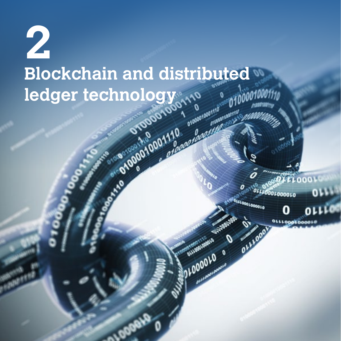# **2 Blockchain and distributed and ledger technology (100 00001100) ledger technology**

noo

01000010

OLLLO

OLLLOODLOODDI OLLLOOD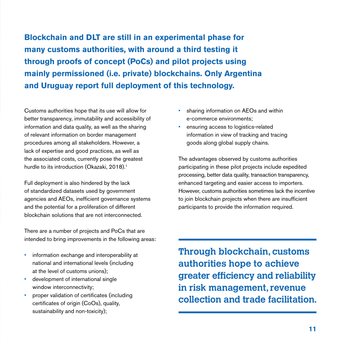**Blockchain and DLT are still in an experimental phase for many customs authorities, with around a third testing it through proofs of concept (PoCs) and pilot projects using mainly permissioned (i.e. private) blockchains. Only Argentina and Uruguay report full deployment of this technology.**

Customs authorities hope that its use will allow for better transparency, immutability and accessibility of information and data quality, as well as the sharing of relevant information on border management procedures among all stakeholders. However, a lack of expertise and good practices, as well as the associated costs, currently pose the greatest hurdle to its introduction (Okazaki, 2018).<sup>1</sup>

Full deployment is also hindered by the lack of standardized datasets used by government agencies and AEOs, inefficient governance systems and the potential for a proliferation of different blockchain solutions that are not interconnected.

There are a number of projects and PoCs that are intended to bring improvements in the following areas:

- information exchange and interoperability at national and international levels (including at the level of customs unions);
- development of international single window interconnectivity;
- proper validation of certificates (including certificates of origin (CoOs), quality, sustainability and non-toxicity);
- sharing information on AEOs and within e-commerce environments;
- ensuring access to logistics-related information in view of tracking and tracing goods along global supply chains.

The advantages observed by customs authorities participating in these pilot projects include expedited processing, better data quality, transaction transparency, enhanced targeting and easier access to importers. However, customs authorities sometimes lack the incentive to join blockchain projects when there are insufficient participants to provide the information required.

**Through blockchain, customs authorities hope to achieve greater efficiency and reliability in risk management, revenue collection and trade facilitation.**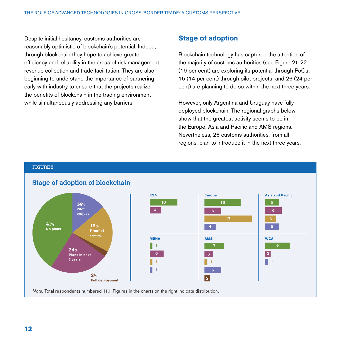Despite initial hesitancy, customs authorities are reasonably optimistic of blockchain's potential. Indeed, through blockchain they hope to achieve greater efficiency and reliability in the areas of risk management, revenue collection and trade facilitation. They are also beginning to understand the importance of partnering early with industry to ensure that the projects realize the benefits of blockchain in the trading environment while simultaneously addressing any barriers.

# **Stage of adoption**

Blockchain technology has captured the attention of the majority of customs authorities (see Figure 2): 22 (19 per cent) are exploring its potential through PoCs; 15 (14 per cent) through pilot projects; and 26 (24 per cent) are planning to do so within the next three years.

However, only Argentina and Uruguay have fully deployed blockchain. The regional graphs below show that the greatest activity seems to be in the Europe, Asia and Pacific and AMS regions. Nevertheless, 26 customs authorities, from all regions, plan to introduce it in the next three years.

#### **FIGURE 2**

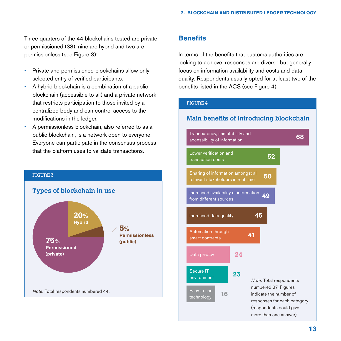Three quarters of the 44 blockchains tested are private or permissioned (33), nine are hybrid and two are permissionless (see Figure 3):

- Private and permissioned blockchains allow only selected entry of verified participants.
- A hybrid blockchain is a combination of a public blockchain (accessible to all) and a private network that restricts participation to those invited by a centralized body and can control access to the modifications in the ledger.
- A permissionless blockchain, also referred to as a public blockchain, is a network open to everyone. Everyone can participate in the consensus process that the platform uses to validate transactions.



# **Benefits**

In terms of the benefits that customs authorities are looking to achieve, responses are diverse but generally focus on information availability and costs and data quality. Respondents usually opted for at least two of the benefits listed in the ACS (see Figure 4).

#### **FIGURE 4**

# **Main benefits of introducing blockchain**

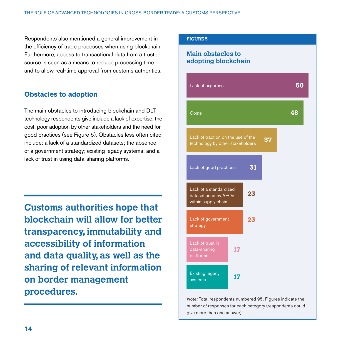Respondents also mentioned a general improvement in the efficiency of trade processes when using blockchain. Furthermore, access to transactional data from a trusted source is seen as a means to reduce processing time and to allow real-time approval from customs authorities.

# **Obstacles to adoption**

The main obstacles to introducing blockchain and DLT technology respondents give include a lack of expertise, the cost, poor adoption by other stakeholders and the need for good practices (see Figure 5). Obstacles less often cited include: a lack of a standardized datasets; the absence of a government strategy; existing legacy systems; and a lack of trust in using data-sharing platforms.

**Customs authorities hope that blockchain will allow for better transparency, immutability and accessibility of information and data quality, as well as the sharing of relevant information on border management procedures.**

### **FIGURE 5**

# **Main obstacles to adopting blockchain**

| Lack of expertise                                                      |    |    | 50 |
|------------------------------------------------------------------------|----|----|----|
| Costs                                                                  |    |    | 48 |
| Lack of traction on the use of the<br>technology by other stakeholders |    | 37 |    |
| Lack of good practices                                                 | 31 |    |    |
| Lack of a standardized<br>dataset used by AEOs<br>within supply chain  | 23 |    |    |
| Lack of government<br>strategy                                         | 23 |    |    |
| Lack of trust in<br>17<br>data-sharing<br>platforms                    |    |    |    |
| <b>Existing legacy</b><br>17<br>systems                                |    |    |    |

*Note:* Total respondents numbered 95. Figures indicate the number of responses for each category (respondents could give more than one answer).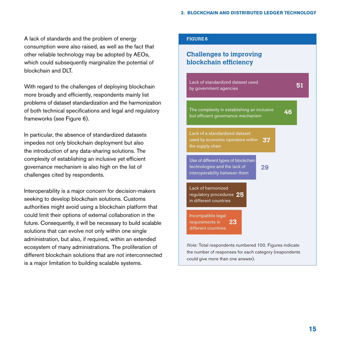A lack of standards and the problem of energy consumption were also raised, as well as the fact that other reliable technology may be adopted by AEOs, which could subsequently marginalize the potential of blockchain and DLT.

With regard to the challenges of deploying blockchain more broadly and efficiently, respondents mainly list problems of dataset standardization and the harmonization of both technical specifications and legal and regulatory frameworks (see Figure 6).

In particular, the absence of standardized datasets impedes not only blockchain deployment but also the introduction of any data-sharing solutions. The complexity of establishing an inclusive yet efficient governance mechanism is also high on the list of challenges cited by respondents.

Interoperability is a major concern for decision-makers seeking to develop blockchain solutions. Customs authorities might avoid using a blockchain platform that could limit their options of external collaboration in the future. Consequently, it will be necessary to build scalable solutions that can evolve not only within one single administration, but also, if required, within an extended ecosystem of many administrations. The proliferation of different blockchain solutions that are not interconnected is a major limitation to building scalable systems.

#### **FIGURE 6**

# **Challenges to improving blockchain efficiency**

| Lack of standardized dataset used<br>by government agencies                                                 | 51 |
|-------------------------------------------------------------------------------------------------------------|----|
| The complexity in establishing an inclusive<br>but efficient governance mechanism                           | 46 |
| Lack of a standardized dataset<br>used by economic operators within<br>37<br>the supply chain               |    |
| Use of different types of blockchain<br>technologies and the lack of<br>29<br>interoperability between them |    |
| Lack of harmonized<br>regulatory procedures 25<br>in different countries                                    |    |
| Incompatible legal<br>requirements in<br>23<br>different countries                                          |    |
|                                                                                                             |    |

*Note:* Total respondents numbered 100. Figures indicate the number of responses for each category (respondents could give more than one answer).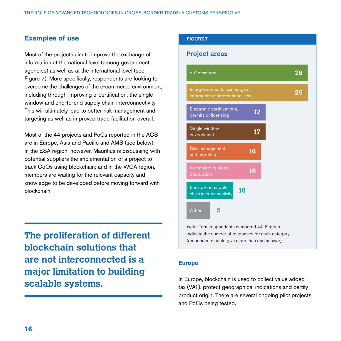# **Examples of use**

Most of the projects aim to improve the exchange of information at the national level (among government agencies) as well as at the international level (see Figure 7). More specifically, respondents are looking to overcome the challenges of the e-commerce environment, including through improving e-certification, the single window and end-to-end supply chain interconnectivity. This will ultimately lead to better risk management and targeting as well as improved trade facilitation overall.

Most of the 44 projects and PoCs reported in the ACS are in Europe, Asia and Pacific and AMS (see below). In the ESA region, however, Mauritius is discussing with potential suppliers the implementation of a project to track CoOs using blockchain; and in the WCA region, members are waiting for the relevant capacity and knowledge to be developed before moving forward with blockchain.

**The proliferation of different blockchain solutions that are not interconnected is a major limitation to building scalable systems.**

#### **FIGURE 7**

# **Project areas**



*Note:* Total respondents numbered 44. Figures indicate the number of responses for each category (respondents could give more than one answer).

#### **Europe**

In Europe, blockchain is used to collect value added tax (VAT), protect geographical indications and certify product origin. There are several ongoing pilot projects and PoCs being tested.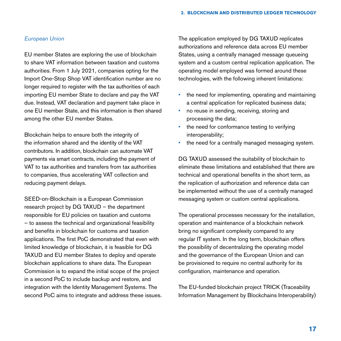## *European Union*

EU member States are exploring the use of blockchain to share VAT information between taxation and customs authorities. From 1 July 2021, companies opting for the Import One-Stop Shop VAT identification number are no longer required to register with the tax authorities of each importing EU member State to declare and pay the VAT due. Instead, VAT declaration and payment take place in one EU member State, and this information is then shared among the other EU member States.

Blockchain helps to ensure both the integrity of the information shared and the identity of the VAT contributors. In addition, blockchain can automate VAT payments via smart contracts, including the payment of VAT to tax authorities and transfers from tax authorities to companies, thus accelerating VAT collection and reducing payment delays.

SEED-on-Blockchain is a European Commission research project by DG TAXUD – the department responsible for EU policies on taxation and customs – to assess the technical and organizational feasibility and benefits in blockchain for customs and taxation applications. The first PoC demonstrated that even with limited knowledge of blockchain, it is feasible for DG TAXUD and EU member States to deploy and operate blockchain applications to share data. The European Commission is to expand the initial scope of the project in a second PoC to include backup and restore, and integration with the Identity Management Systems. The second PoC aims to integrate and address these issues. The application employed by DG TAXUD replicates authorizations and reference data across EU member States, using a centrally managed message queueing system and a custom central replication application. The operating model employed was formed around these technologies, with the following inherent limitations:

- the need for implementing, operating and maintaining a central application for replicated business data;
- no reuse in sending, receiving, storing and processing the data;
- the need for conformance testing to verifying interoperability;
- the need for a centrally managed messaging system.

DG TAXUD assessed the suitability of blockchain to eliminate these limitations and established that there are technical and operational benefits in the short term, as the replication of authorization and reference data can be implemented without the use of a centrally managed messaging system or custom central applications.

The operational processes necessary for the installation, operation and maintenance of a blockchain network bring no significant complexity compared to any regular IT system. In the long term, blockchain offers the possibility of decentralizing the operating model and the governance of the European Union and can be provisioned to require no central authority for its configuration, maintenance and operation.

The EU-funded blockchain project TRICK (Traceability Information Management by Blockchains Interoperability)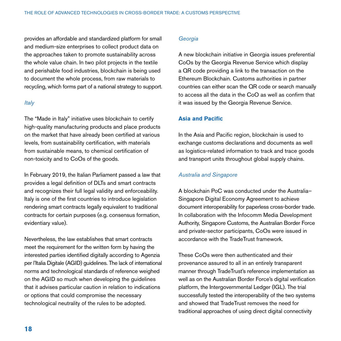provides an affordable and standardized platform for small and medium-size enterprises to collect product data on the approaches taken to promote sustainability across the whole value chain. In two pilot projects in the textile and perishable food industries, blockchain is being used to document the whole process, from raw materials to recycling, which forms part of a national strategy to support.

#### *Italy*

The "Made in Italy" initiative uses blockchain to certify high-quality manufacturing products and place products on the market that have already been certified at various levels, from sustainability certification, with materials from sustainable means, to chemical certification of non-toxicity and to CoOs of the goods.

In February 2019, the Italian Parliament passed a law that provides a legal definition of DLTs and smart contracts and recognizes their full legal validity and enforceability. Italy is one of the first countries to introduce legislation rendering smart contracts legally equivalent to traditional contracts for certain purposes (e.g. consensus formation, evidentiary value).

Nevertheless, the law establishes that smart contracts meet the requirement for the written form by having the interested parties identified digitally according to Agenzia per l'Italia Digitale (AGID) guidelines. The lack of international norms and technological standards of reference weighed on the AGID so much when developing the guidelines that it advises particular caution in relation to indications or options that could compromise the necessary technological neutrality of the rules to be adopted.

## *Georgia*

A new blockchain initiative in Georgia issues preferential CoOs by the Georgia Revenue Service which display a QR code providing a link to the transaction on the Ethereum Blockchain. Customs authorities in partner countries can either scan the QR code or search manually to access all the data in the CoO as well as confirm that it was issued by the Georgia Revenue Service.

#### **Asia and Pacific**

In the Asia and Pacific region, blockchain is used to exchange customs declarations and documents as well as logistics-related information to track and trace goods and transport units throughout global supply chains.

# *Australia and Singapore*

A blockchain PoC was conducted under the Australia– Singapore Digital Economy Agreement to achieve document interoperability for paperless cross-border trade. In collaboration with the Infocomm Media Development Authority, Singapore Customs, the Australian Border Force and private-sector participants, CoOs were issued in accordance with the TradeTrust framework.

These CoOs were then authenticated and their provenance assured to all in an entirely transparent manner through TradeTrust's reference implementation as well as on the Australian Border Force's digital verification platform, the Intergovernmental Ledger (IGL). The trial successfully tested the interoperability of the two systems and showed that TradeTrust removes the need for traditional approaches of using direct digital connectivity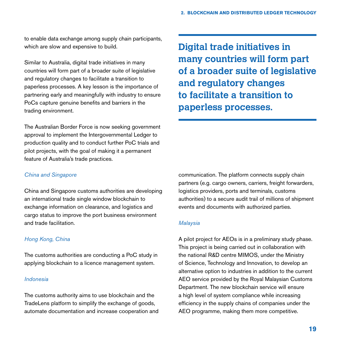to enable data exchange among supply chain participants, which are slow and expensive to build.

Similar to Australia, digital trade initiatives in many countries will form part of a broader suite of legislative and regulatory changes to facilitate a transition to paperless processes. A key lesson is the importance of partnering early and meaningfully with industry to ensure PoCs capture genuine benefits and barriers in the trading environment.

The Australian Border Force is now seeking government approval to implement the Intergovernmental Ledger to production quality and to conduct further PoC trials and pilot projects, with the goal of making it a permanent feature of Australia's trade practices.

*China and Singapore*

China and Singapore customs authorities are developing an international trade single window blockchain to exchange information on clearance, and logistics and cargo status to improve the port business environment and trade facilitation.

# *Hong Kong, China*

The customs authorities are conducting a PoC study in applying blockchain to a licence management system.

#### *Indonesia*

The customs authority aims to use blockchain and the TradeLens platform to simplify the exchange of goods, automate documentation and increase cooperation and **Digital trade initiatives in many countries will form part of a broader suite of legislative and regulatory changes to facilitate a transition to paperless processes.**

communication. The platform connects supply chain partners (e.g. cargo owners, carriers, freight forwarders, logistics providers, ports and terminals, customs authorities) to a secure audit trail of millions of shipment events and documents with authorized parties.

# *Malaysia*

A pilot project for AEOs is in a preliminary study phase. This project is being carried out in collaboration with the national R&D centre MIMOS, under the Ministry of Science, Technology and Innovation, to develop an alternative option to industries in addition to the current AEO service provided by the Royal Malaysian Customs Department. The new blockchain service will ensure a high level of system compliance while increasing efficiency in the supply chains of companies under the AEO programme, making them more competitive.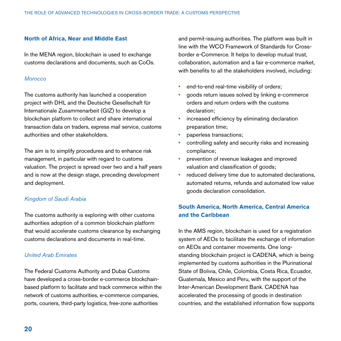## **North of Africa, Near and Middle East**

In the MENA region, blockchain is used to exchange customs declarations and documents, such as CoOs.

#### *Morocco*

The customs authority has launched a cooperation project with DHL and the Deutsche Gesellschaft für Internationale Zusammenarbeit (GIZ) to develop a blockchain platform to collect and share international transaction data on traders, express mail service, customs authorities and other stakeholders.

The aim is to simplify procedures and to enhance risk management, in particular with regard to customs valuation. The project is spread over two and a half years and is now at the design stage, preceding development and deployment.

#### *Kingdom of Saudi Arabia*

The customs authority is exploring with other customs authorities adoption of a common blockchain platform that would accelerate customs clearance by exchanging customs declarations and documents in real-time.

## *United Arab Emirates*

The Federal Customs Authority and Dubai Customs have developed a cross-border e-commerce blockchainbased platform to facilitate and track commerce within the network of customs authorities, e-commerce companies, ports, couriers, third-party logistics, free-zone authorities

and permit-issuing authorities. The platform was built in line with the WCO Framework of Standards for Crossborder e-Commerce. It helps to develop mutual trust, collaboration, automation and a fair e-commerce market, with benefits to all the stakeholders involved, including:

- end-to-end real-time visibility of orders;
- goods return issues solved by linking e-commerce orders and return orders with the customs declaration;
- increased efficiency by eliminating declaration preparation time;
- paperless transactions;
- controlling safety and security risks and increasing compliance;
- prevention of revenue leakages and improved valuation and classification of goods;
- reduced delivery time due to automated declarations, automated returns, refunds and automated low value goods declaration consolidation.

# **South America, North America, Central America and the Caribbean**

In the AMS region, blockchain is used for a registration system of AEOs to facilitate the exchange of information on AEOs and container movements. One longstanding blockchain project is CADENA, which is being implemented by customs authorities in the Plurinational State of Bolivia, Chile, Colombia, Costa Rica, Ecuador, Guatemala, Mexico and Peru, with the support of the Inter-American Development Bank. CADENA has accelerated the processing of goods in destination countries, and the established information flow supports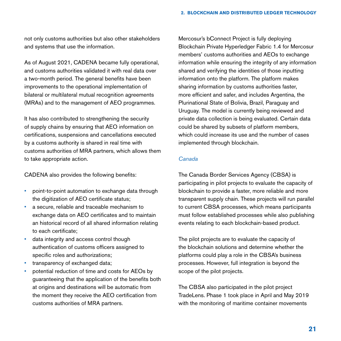not only customs authorities but also other stakeholders and systems that use the information.

As of August 2021, CADENA became fully operational, and customs authorities validated it with real data over a two-month period. The general benefits have been improvements to the operational implementation of bilateral or multilateral mutual recognition agreements (MRAs) and to the management of AEO programmes.

It has also contributed to strengthening the security of supply chains by ensuring that AEO information on certifications, suspensions and cancellations executed by a customs authority is shared in real time with customs authorities of MRA partners, which allows them to take appropriate action.

CADENA also provides the following benefits:

- point-to-point automation to exchange data through the digitization of AEO certificate status;
- a secure, reliable and traceable mechanism to exchange data on AEO certificates and to maintain an historical record of all shared information relating to each certificate;
- data integrity and access control though authentication of customs officers assigned to specific roles and authorizations;
- transparency of exchanged data;
- potential reduction of time and costs for AEOs by guaranteeing that the application of the benefits both at origins and destinations will be automatic from the moment they receive the AEO certification from customs authorities of MRA partners.

Mercosur's bConnect Project is fully deploying Blockchain Private Hyperledger Fabric 1.4 for Mercosur members' customs authorities and AEOs to exchange information while ensuring the integrity of any information shared and verifying the identities of those inputting information onto the platform. The platform makes sharing information by customs authorities faster, more efficient and safer, and includes Argentina, the Plurinational State of Bolivia, Brazil, Paraguay and Uruguay. The model is currently being reviewed and private data collection is being evaluated. Certain data could be shared by subsets of platform members, which could increase its use and the number of cases implemented through blockchain.

# *Canada*

The Canada Border Services Agency (CBSA) is participating in pilot projects to evaluate the capacity of blockchain to provide a faster, more reliable and more transparent supply chain. These projects will run parallel to current CBSA processes, which means participants must follow established processes while also publishing events relating to each blockchain-based product.

The pilot projects are to evaluate the capacity of the blockchain solutions and determine whether the platforms could play a role in the CBSA's business processes. However, full integration is beyond the scope of the pilot projects.

The CBSA also participated in the pilot project TradeLens. Phase 1 took place in April and May 2019 with the monitoring of maritime container movements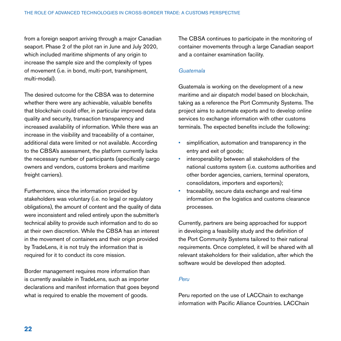from a foreign seaport arriving through a major Canadian seaport. Phase 2 of the pilot ran in June and July 2020, which included maritime shipments of any origin to increase the sample size and the complexity of types of movement (i.e. in bond, multi-port, transhipment, multi-modal).

The desired outcome for the CBSA was to determine whether there were any achievable, valuable benefits that blockchain could offer, in particular improved data quality and security, transaction transparency and increased availability of information. While there was an increase in the visibility and traceability of a container, additional data were limited or not available. According to the CBSA's assessment, the platform currently lacks the necessary number of participants (specifically cargo owners and vendors, customs brokers and maritime freight carriers).

Furthermore, since the information provided by stakeholders was voluntary (i.e. no legal or regulatory obligations), the amount of content and the quality of data were inconsistent and relied entirely upon the submitter's technical ability to provide such information and to do so at their own discretion. While the CBSA has an interest in the movement of containers and their origin provided by TradeLens, it is not truly the information that is required for it to conduct its core mission.

Border management requires more information than is currently available in TradeLens, such as importer declarations and manifest information that goes beyond what is required to enable the movement of goods.

The CBSA continues to participate in the monitoring of container movements through a large Canadian seaport and a container examination facility.

## *Guatemala*

Guatemala is working on the development of a new maritime and air dispatch model based on blockchain, taking as a reference the Port Community Systems. The project aims to automate exports and to develop online services to exchange information with other customs terminals. The expected benefits include the following:

- simplification, automation and transparency in the entry and exit of goods;
- interoperability between all stakeholders of the national customs system (i.e. customs authorities and other border agencies, carriers, terminal operators, consolidators, importers and exporters);
- traceability, secure data exchange and real-time information on the logistics and customs clearance processes.

Currently, partners are being approached for support in developing a feasibility study and the definition of the Port Community Systems tailored to their national requirements. Once completed, it will be shared with all relevant stakeholders for their validation, after which the software would be developed then adopted.

#### *Peru*

Peru reported on the use of LACChain to exchange information with Pacific Alliance Countries. LACChain